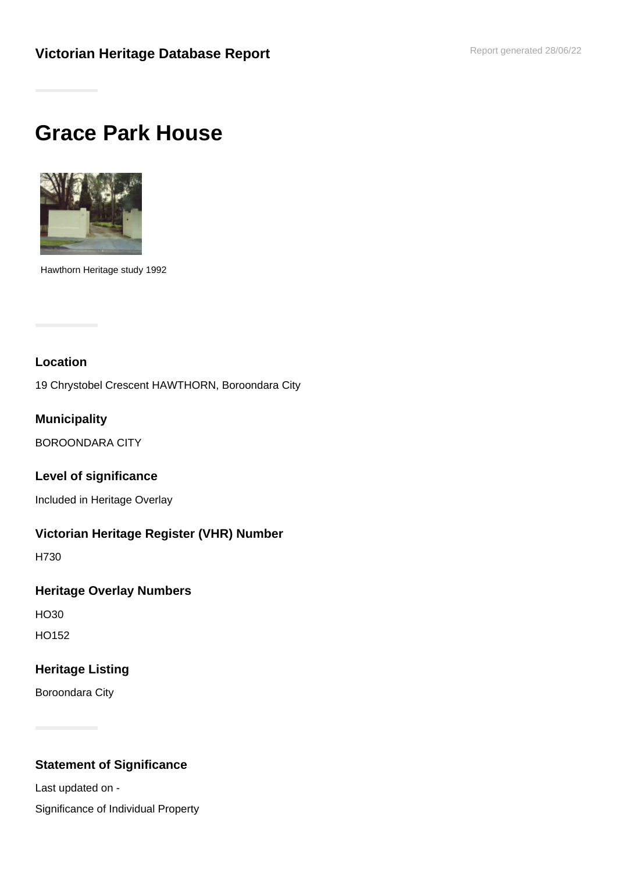# **Grace Park House**



Hawthorn Heritage study 1992

## **Location**

19 Chrystobel Crescent HAWTHORN, Boroondara City

## **Municipality**

BOROONDARA CITY

#### **Level of significance**

Included in Heritage Overlay

#### **Victorian Heritage Register (VHR) Number**

H730

#### **Heritage Overlay Numbers**

HO30

HO152

#### **Heritage Listing**

Boroondara City

# **Statement of Significance**

Last updated on -

Significance of Individual Property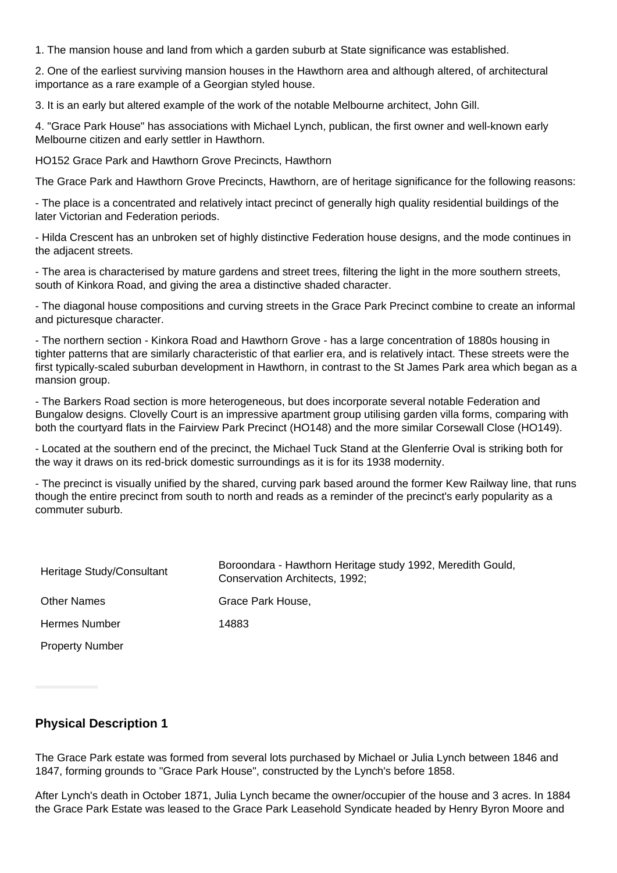1. The mansion house and land from which a garden suburb at State significance was established.

2. One of the earliest surviving mansion houses in the Hawthorn area and although altered, of architectural importance as a rare example of a Georgian styled house.

3. It is an early but altered example of the work of the notable Melbourne architect, John Gill.

4. "Grace Park House" has associations with Michael Lynch, publican, the first owner and well-known early Melbourne citizen and early settler in Hawthorn.

HO152 Grace Park and Hawthorn Grove Precincts, Hawthorn

The Grace Park and Hawthorn Grove Precincts, Hawthorn, are of heritage significance for the following reasons:

- The place is a concentrated and relatively intact precinct of generally high quality residential buildings of the later Victorian and Federation periods.

- Hilda Crescent has an unbroken set of highly distinctive Federation house designs, and the mode continues in the adjacent streets.

- The area is characterised by mature gardens and street trees, filtering the light in the more southern streets, south of Kinkora Road, and giving the area a distinctive shaded character.

- The diagonal house compositions and curving streets in the Grace Park Precinct combine to create an informal and picturesque character.

- The northern section - Kinkora Road and Hawthorn Grove - has a large concentration of 1880s housing in tighter patterns that are similarly characteristic of that earlier era, and is relatively intact. These streets were the first typically-scaled suburban development in Hawthorn, in contrast to the St James Park area which began as a mansion group.

- The Barkers Road section is more heterogeneous, but does incorporate several notable Federation and Bungalow designs. Clovelly Court is an impressive apartment group utilising garden villa forms, comparing with both the courtyard flats in the Fairview Park Precinct (HO148) and the more similar Corsewall Close (HO149).

- Located at the southern end of the precinct, the Michael Tuck Stand at the Glenferrie Oval is striking both for the way it draws on its red-brick domestic surroundings as it is for its 1938 modernity.

- The precinct is visually unified by the shared, curving park based around the former Kew Railway line, that runs though the entire precinct from south to north and reads as a reminder of the precinct's early popularity as a commuter suburb.

| Heritage Study/Consultant | Boroondara - Hawthorn Heritage study 1992, Meredith Gould,<br>Conservation Architects, 1992; |
|---------------------------|----------------------------------------------------------------------------------------------|
| <b>Other Names</b>        | Grace Park House,                                                                            |
| Hermes Number             | 14883                                                                                        |
| <b>Property Number</b>    |                                                                                              |

#### **Physical Description 1**

The Grace Park estate was formed from several lots purchased by Michael or Julia Lynch between 1846 and 1847, forming grounds to "Grace Park House", constructed by the Lynch's before 1858.

After Lynch's death in October 1871, Julia Lynch became the owner/occupier of the house and 3 acres. In 1884 the Grace Park Estate was leased to the Grace Park Leasehold Syndicate headed by Henry Byron Moore and